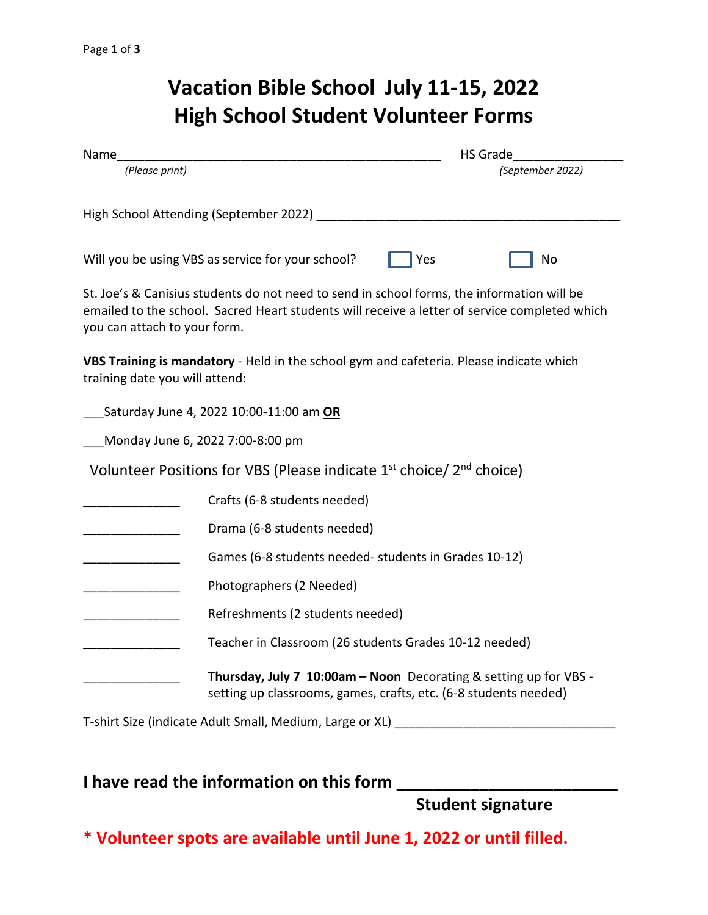# **Vacation Bible School July 11-15, 2022 High School Student Volunteer Forms**

| Name                           |                                                                                                                                                                                             | <b>HS Grade</b> |                  |
|--------------------------------|---------------------------------------------------------------------------------------------------------------------------------------------------------------------------------------------|-----------------|------------------|
| (Please print)                 |                                                                                                                                                                                             |                 | (September 2022) |
|                                | High School Attending (September 2022) ____                                                                                                                                                 |                 |                  |
|                                | Will you be using VBS as service for your school?                                                                                                                                           | Yes             | No               |
| you can attach to your form.   | St. Joe's & Canisius students do not need to send in school forms, the information will be<br>emailed to the school. Sacred Heart students will receive a letter of service completed which |                 |                  |
| training date you will attend: | VBS Training is mandatory - Held in the school gym and cafeteria. Please indicate which                                                                                                     |                 |                  |
|                                | Saturday June 4, 2022 10:00-11:00 am OR                                                                                                                                                     |                 |                  |
|                                | Monday June 6, 2022 7:00-8:00 pm                                                                                                                                                            |                 |                  |
|                                | Volunteer Positions for VBS (Please indicate $1st$ choice/ $2nd$ choice)                                                                                                                    |                 |                  |
|                                | Crafts (6-8 students needed)                                                                                                                                                                |                 |                  |
|                                | Drama (6-8 students needed)                                                                                                                                                                 |                 |                  |
|                                | Games (6-8 students needed- students in Grades 10-12)                                                                                                                                       |                 |                  |
|                                | Photographers (2 Needed)                                                                                                                                                                    |                 |                  |
|                                | Refreshments (2 students needed)                                                                                                                                                            |                 |                  |
|                                | Teacher in Classroom (26 students Grades 10-12 needed)                                                                                                                                      |                 |                  |
|                                | Thursday, July 7 10:00am - Noon Decorating & setting up for VBS -<br>setting up classrooms, games, crafts, etc. (6-8 students needed)                                                       |                 |                  |
|                                | T-shirt Size (indicate Adult Small, Medium, Large or XL)                                                                                                                                    |                 |                  |

## **I have read the information on this form**

**Student signature**

**\* Volunteer spots are available until June 1, 2022 or until filled.**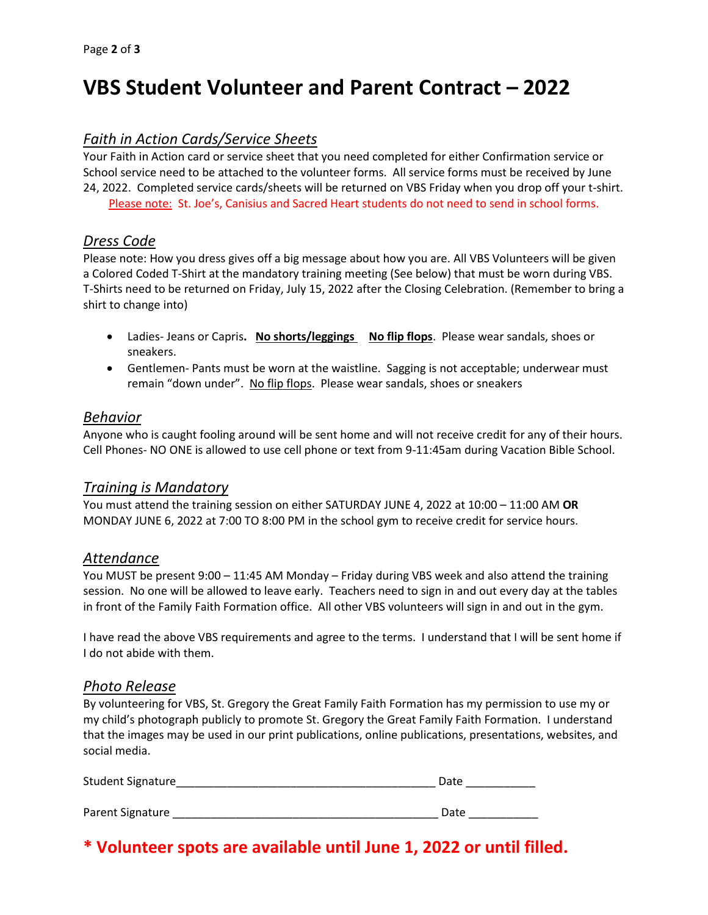## **VBS Student Volunteer and Parent Contract – 2022**

#### *Faith in Action Cards/Service Sheets*

Your Faith in Action card or service sheet that you need completed for either Confirmation service or School service need to be attached to the volunteer forms. All service forms must be received by June 24, 2022. Completed service cards/sheets will be returned on VBS Friday when you drop off your t-shirt.

Please note: St. Joe's, Canisius and Sacred Heart students do not need to send in school forms.

#### *Dress Code*

Please note: How you dress gives off a big message about how you are. All VBS Volunteers will be given a Colored Coded T-Shirt at the mandatory training meeting (See below) that must be worn during VBS. T-Shirts need to be returned on Friday, July 15, 2022 after the Closing Celebration. (Remember to bring a shirt to change into)

- Ladies- Jeans or Capris. No shorts/leggings No flip flops. Please wear sandals, shoes or sneakers.
- Gentlemen- Pants must be worn at the waistline. Sagging is not acceptable; underwear must remain "down under". No flip flops. Please wear sandals, shoes or sneakers

#### *Behavior*

Anyone who is caught fooling around will be sent home and will not receive credit for any of their hours. Cell Phones- NO ONE is allowed to use cell phone or text from 9-11:45am during Vacation Bible School.

#### *Training is Mandatory*

You must attend the training session on either SATURDAY JUNE 4, 2022 at 10:00 – 11:00 AM **OR**  MONDAY JUNE 6, 2022 at 7:00 TO 8:00 PM in the school gym to receive credit for service hours.

#### *Attendance*

You MUST be present 9:00 – 11:45 AM Monday – Friday during VBS week and also attend the training session. No one will be allowed to leave early. Teachers need to sign in and out every day at the tables in front of the Family Faith Formation office. All other VBS volunteers will sign in and out in the gym.

I have read the above VBS requirements and agree to the terms. I understand that I will be sent home if I do not abide with them.

#### *Photo Release*

By volunteering for VBS, St. Gregory the Great Family Faith Formation has my permission to use my or my child's photograph publicly to promote St. Gregory the Great Family Faith Formation. I understand that the images may be used in our print publications, online publications, presentations, websites, and social media.

| Student Signature | Date |
|-------------------|------|
|                   |      |
| Parent Signature  | Date |

## **\* Volunteer spots are available until June 1, 2022 or until filled.**